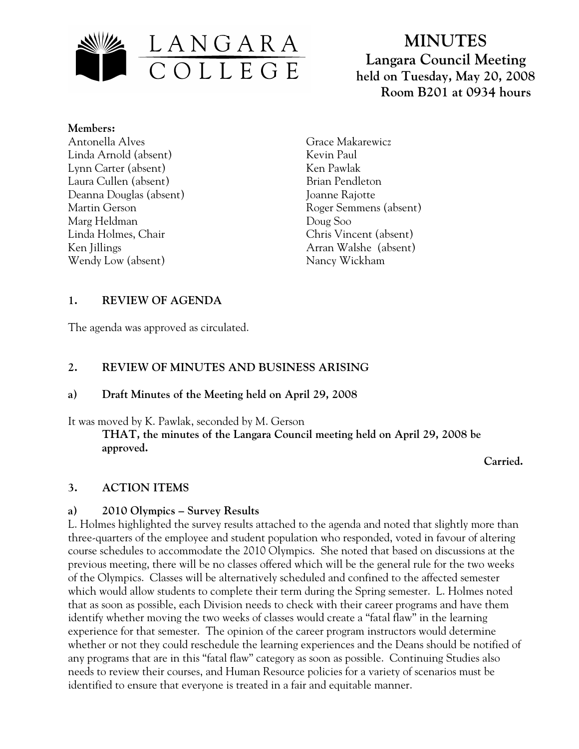

**MINUTES Langara Council Meeting held on Tuesday, May 20, 2008 Room B201 at 0934 hours**

#### **Members:**

Antonella Alves Linda Arnold (absent) Lynn Carter (absent) Laura Cullen (absent) Deanna Douglas (absent) Martin Gerson Marg Heldman Linda Holmes, Chair Ken Jillings Wendy Low (absent)

Grace Makarewicz Kevin Paul Ken Pawlak Brian Pendleton Joanne Rajotte Roger Semmens (absent) Doug Soo Chris Vincent (absent) Arran Walshe (absent) Nancy Wickham

## **1. REVIEW OF AGENDA**

The agenda was approved as circulated.

## **2. REVIEW OF MINUTES AND BUSINESS ARISING**

### **a) Draft Minutes of the Meeting held on April 29, 2008**

It was moved by K. Pawlak, seconded by M. Gerson

**THAT, the minutes of the Langara Council meeting held on April 29, 2008 be approved.** 

 **Carried.** 

### **3. ACTION ITEMS**

### **a) 2010 Olympics – Survey Results**

L. Holmes highlighted the survey results attached to the agenda and noted that slightly more than three-quarters of the employee and student population who responded, voted in favour of altering course schedules to accommodate the 2010 Olympics. She noted that based on discussions at the previous meeting, there will be no classes offered which will be the general rule for the two weeks of the Olympics. Classes will be alternatively scheduled and confined to the affected semester which would allow students to complete their term during the Spring semester. L. Holmes noted that as soon as possible, each Division needs to check with their career programs and have them identify whether moving the two weeks of classes would create a "fatal flaw" in the learning experience for that semester. The opinion of the career program instructors would determine whether or not they could reschedule the learning experiences and the Deans should be notified of any programs that are in this "fatal flaw" category as soon as possible. Continuing Studies also needs to review their courses, and Human Resource policies for a variety of scenarios must be identified to ensure that everyone is treated in a fair and equitable manner.